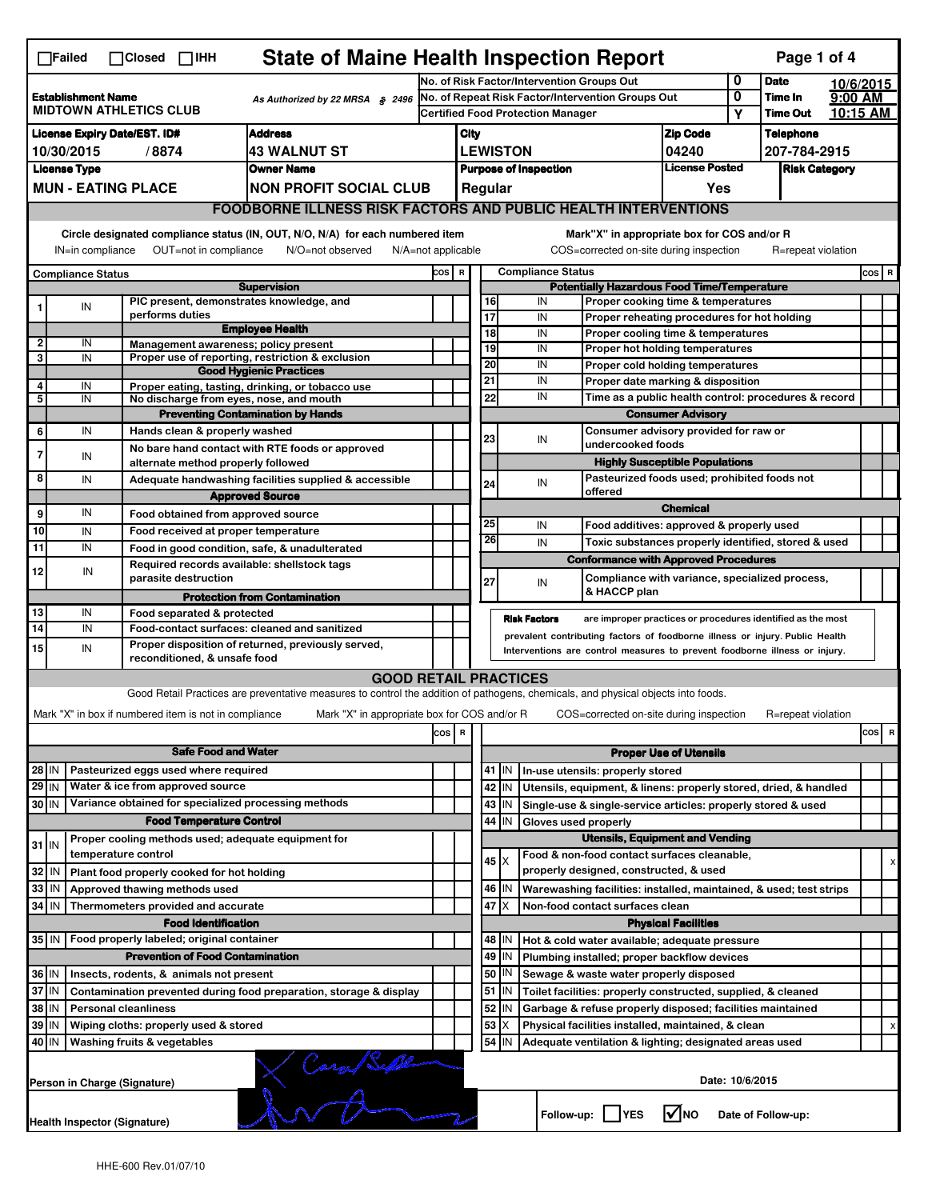| <b>State of Maine Health Inspection Report</b><br>Page 1 of 4<br>$\Box$ Failed<br>$\Box$ Closed $\Box$ IHH                                                                                                                                                                            |                                                                                                  |                                                       |                                                                                                                                                                   |        |                                                                                               |                                                                                                                                                            |                 |                                                        |                                                                                              |                               |                                      |                     |           |         |   |  |
|---------------------------------------------------------------------------------------------------------------------------------------------------------------------------------------------------------------------------------------------------------------------------------------|--------------------------------------------------------------------------------------------------|-------------------------------------------------------|-------------------------------------------------------------------------------------------------------------------------------------------------------------------|--------|-----------------------------------------------------------------------------------------------|------------------------------------------------------------------------------------------------------------------------------------------------------------|-----------------|--------------------------------------------------------|----------------------------------------------------------------------------------------------|-------------------------------|--------------------------------------|---------------------|-----------|---------|---|--|
|                                                                                                                                                                                                                                                                                       |                                                                                                  |                                                       |                                                                                                                                                                   |        | No. of Risk Factor/Intervention Groups Out                                                    |                                                                                                                                                            |                 |                                                        |                                                                                              |                               | 0                                    | <b>Date</b>         | 10/6/2015 |         |   |  |
| <b>Establishment Name</b><br>As Authorized by 22 MRSA § 2496<br><b>MIDTOWN ATHLETICS CLUB</b>                                                                                                                                                                                         |                                                                                                  |                                                       |                                                                                                                                                                   |        | No. of Repeat Risk Factor/Intervention Groups Out<br><b>Certified Food Protection Manager</b> |                                                                                                                                                            |                 |                                                        |                                                                                              | 0                             | Time In<br><b>Time Out</b>           | 9:00 AM<br>10:15 AM |           |         |   |  |
|                                                                                                                                                                                                                                                                                       |                                                                                                  |                                                       |                                                                                                                                                                   |        |                                                                                               |                                                                                                                                                            |                 |                                                        |                                                                                              |                               | Υ                                    |                     |           |         |   |  |
| <b>Address</b><br><b>License Expiry Date/EST. ID#</b><br><b>43 WALNUT ST</b><br>10/30/2015                                                                                                                                                                                            |                                                                                                  |                                                       |                                                                                                                                                                   |        |                                                                                               | <b>Zip Code</b><br>City                                                                                                                                    |                 |                                                        |                                                                                              |                               |                                      | <b>Telephone</b>    |           |         |   |  |
| /8874<br><b>Owner Name</b>                                                                                                                                                                                                                                                            |                                                                                                  |                                                       |                                                                                                                                                                   |        | <b>LEWISTON</b><br>04240<br><b>License Posted</b><br><b>Purpose of Inspection</b>             |                                                                                                                                                            |                 |                                                        |                                                                                              |                               | 207-784-2915<br><b>Risk Category</b> |                     |           |         |   |  |
|                                                                                                                                                                                                                                                                                       | <b>License Type</b>                                                                              |                                                       |                                                                                                                                                                   |        |                                                                                               | Regular<br>Yes                                                                                                                                             |                 |                                                        |                                                                                              |                               |                                      |                     |           |         |   |  |
|                                                                                                                                                                                                                                                                                       | <b>MUN - EATING PLACE</b><br><b>NON PROFIT SOCIAL CLUB</b>                                       |                                                       |                                                                                                                                                                   |        |                                                                                               |                                                                                                                                                            |                 |                                                        |                                                                                              |                               |                                      |                     |           |         |   |  |
| <b>FOODBORNE ILLNESS RISK FACTORS AND PUBLIC HEALTH INTERVENTIONS</b>                                                                                                                                                                                                                 |                                                                                                  |                                                       |                                                                                                                                                                   |        |                                                                                               |                                                                                                                                                            |                 |                                                        |                                                                                              |                               |                                      |                     |           |         |   |  |
| Circle designated compliance status (IN, OUT, N/O, N/A) for each numbered item<br>Mark"X" in appropriate box for COS and/or R<br>OUT=not in compliance<br>COS=corrected on-site during inspection<br>IN=in compliance<br>N/O=not observed<br>N/A=not applicable<br>R=repeat violation |                                                                                                  |                                                       |                                                                                                                                                                   |        |                                                                                               |                                                                                                                                                            |                 |                                                        |                                                                                              |                               |                                      |                     |           |         |   |  |
| <b>Compliance Status</b>                                                                                                                                                                                                                                                              |                                                                                                  |                                                       |                                                                                                                                                                   |        |                                                                                               | <b>Compliance Status</b><br>COS R                                                                                                                          |                 |                                                        |                                                                                              |                               |                                      |                     |           | $cos$ R |   |  |
|                                                                                                                                                                                                                                                                                       |                                                                                                  | PIC present, demonstrates knowledge, and              | <b>Supervision</b>                                                                                                                                                |        |                                                                                               |                                                                                                                                                            | 16              | IN                                                     | <b>Potentially Hazardous Food Time/Temperature</b><br>Proper cooking time & temperatures     |                               |                                      |                     |           |         |   |  |
|                                                                                                                                                                                                                                                                                       | IN                                                                                               | performs duties                                       |                                                                                                                                                                   |        |                                                                                               |                                                                                                                                                            | 17              | IN                                                     | Proper reheating procedures for hot holding                                                  |                               |                                      |                     |           |         |   |  |
|                                                                                                                                                                                                                                                                                       |                                                                                                  |                                                       | <b>Employee Health</b>                                                                                                                                            |        |                                                                                               |                                                                                                                                                            | $\overline{18}$ | IN                                                     | Proper cooling time & temperatures                                                           |                               |                                      |                     |           |         |   |  |
| 2<br>3                                                                                                                                                                                                                                                                                | IN<br>IN                                                                                         | Management awareness; policy present                  | Proper use of reporting, restriction & exclusion                                                                                                                  |        |                                                                                               |                                                                                                                                                            | 19              | IN                                                     | Proper hot holding temperatures                                                              |                               |                                      |                     |           |         |   |  |
|                                                                                                                                                                                                                                                                                       |                                                                                                  |                                                       | <b>Good Hygienic Practices</b>                                                                                                                                    |        |                                                                                               |                                                                                                                                                            | 20              | IN                                                     | Proper cold holding temperatures                                                             |                               |                                      |                     |           |         |   |  |
| 4                                                                                                                                                                                                                                                                                     | IN                                                                                               |                                                       | Proper eating, tasting, drinking, or tobacco use                                                                                                                  |        |                                                                                               | 21                                                                                                                                                         |                 | IN                                                     | Proper date marking & disposition                                                            |                               |                                      |                     |           |         |   |  |
| 5                                                                                                                                                                                                                                                                                     | IN                                                                                               | No discharge from eyes, nose, and mouth               |                                                                                                                                                                   |        |                                                                                               |                                                                                                                                                            | 22              | IN                                                     | Time as a public health control: procedures & record                                         |                               |                                      |                     |           |         |   |  |
|                                                                                                                                                                                                                                                                                       |                                                                                                  |                                                       | <b>Preventing Contamination by Hands</b>                                                                                                                          |        |                                                                                               |                                                                                                                                                            |                 |                                                        | <b>Consumer Advisory</b>                                                                     |                               |                                      |                     |           |         |   |  |
| 6                                                                                                                                                                                                                                                                                     | IN                                                                                               | Hands clean & properly washed                         |                                                                                                                                                                   |        |                                                                                               |                                                                                                                                                            | 23              | IN                                                     | Consumer advisory provided for raw or<br>undercooked foods                                   |                               |                                      |                     |           |         |   |  |
| $\overline{7}$                                                                                                                                                                                                                                                                        | IN                                                                                               |                                                       | No bare hand contact with RTE foods or approved                                                                                                                   |        |                                                                                               |                                                                                                                                                            |                 |                                                        |                                                                                              |                               |                                      |                     |           |         |   |  |
| 8                                                                                                                                                                                                                                                                                     |                                                                                                  | alternate method properly followed                    |                                                                                                                                                                   |        |                                                                                               |                                                                                                                                                            |                 |                                                        | <b>Highly Susceptible Populations</b><br>Pasteurized foods used; prohibited foods not        |                               |                                      |                     |           |         |   |  |
|                                                                                                                                                                                                                                                                                       | IN                                                                                               |                                                       | Adequate handwashing facilities supplied & accessible<br>IN<br>24<br>offered<br><b>Approved Source</b>                                                            |        |                                                                                               |                                                                                                                                                            |                 |                                                        |                                                                                              |                               |                                      |                     |           |         |   |  |
| 9                                                                                                                                                                                                                                                                                     | IN                                                                                               |                                                       |                                                                                                                                                                   |        |                                                                                               |                                                                                                                                                            |                 |                                                        |                                                                                              | <b>Chemical</b>               |                                      |                     |           |         |   |  |
| 10                                                                                                                                                                                                                                                                                    |                                                                                                  | Food obtained from approved source                    |                                                                                                                                                                   |        |                                                                                               |                                                                                                                                                            | 25              | IN                                                     | Food additives: approved & properly used                                                     |                               |                                      |                     |           |         |   |  |
| 11                                                                                                                                                                                                                                                                                    | IN<br>IN                                                                                         | Food received at proper temperature                   |                                                                                                                                                                   |        |                                                                                               |                                                                                                                                                            | 26              | IN                                                     | Toxic substances properly identified, stored & used                                          |                               |                                      |                     |           |         |   |  |
|                                                                                                                                                                                                                                                                                       |                                                                                                  | Required records available: shellstock tags           | Food in good condition, safe, & unadulterated                                                                                                                     |        |                                                                                               |                                                                                                                                                            |                 |                                                        | <b>Conformance with Approved Procedures</b>                                                  |                               |                                      |                     |           |         |   |  |
| 12                                                                                                                                                                                                                                                                                    | IN                                                                                               | parasite destruction                                  |                                                                                                                                                                   |        |                                                                                               |                                                                                                                                                            | 27              | IN                                                     | Compliance with variance, specialized process,                                               |                               |                                      |                     |           |         |   |  |
|                                                                                                                                                                                                                                                                                       |                                                                                                  |                                                       | <b>Protection from Contamination</b>                                                                                                                              |        |                                                                                               |                                                                                                                                                            |                 |                                                        | & HACCP plan                                                                                 |                               |                                      |                     |           |         |   |  |
| 13                                                                                                                                                                                                                                                                                    | IN                                                                                               | Food separated & protected                            |                                                                                                                                                                   |        |                                                                                               |                                                                                                                                                            |                 | <b>Risk Factors</b>                                    | are improper practices or procedures identified as the most                                  |                               |                                      |                     |           |         |   |  |
| 14                                                                                                                                                                                                                                                                                    | IN                                                                                               |                                                       | Food-contact surfaces: cleaned and sanitized                                                                                                                      |        |                                                                                               |                                                                                                                                                            |                 |                                                        |                                                                                              |                               |                                      |                     |           |         |   |  |
| 15                                                                                                                                                                                                                                                                                    | IN                                                                                               |                                                       | Proper disposition of returned, previously served,                                                                                                                |        |                                                                                               | prevalent contributing factors of foodborne illness or injury. Public Health<br>Interventions are control measures to prevent foodborne illness or injury. |                 |                                                        |                                                                                              |                               |                                      |                     |           |         |   |  |
|                                                                                                                                                                                                                                                                                       |                                                                                                  | reconditioned, & unsafe food                          |                                                                                                                                                                   |        |                                                                                               |                                                                                                                                                            |                 |                                                        |                                                                                              |                               |                                      |                     |           |         |   |  |
|                                                                                                                                                                                                                                                                                       |                                                                                                  |                                                       | <b>GOOD RETAIL PRACTICES</b><br>Good Retail Practices are preventative measures to control the addition of pathogens, chemicals, and physical objects into foods. |        |                                                                                               |                                                                                                                                                            |                 |                                                        |                                                                                              |                               |                                      |                     |           |         |   |  |
|                                                                                                                                                                                                                                                                                       |                                                                                                  |                                                       |                                                                                                                                                                   |        |                                                                                               |                                                                                                                                                            |                 |                                                        |                                                                                              |                               |                                      |                     |           |         |   |  |
|                                                                                                                                                                                                                                                                                       |                                                                                                  | Mark "X" in box if numbered item is not in compliance | Mark "X" in appropriate box for COS and/or R                                                                                                                      |        |                                                                                               |                                                                                                                                                            |                 |                                                        | COS=corrected on-site during inspection                                                      |                               |                                      | R=repeat violation  |           |         |   |  |
|                                                                                                                                                                                                                                                                                       |                                                                                                  |                                                       |                                                                                                                                                                   | $\cos$ | R                                                                                             |                                                                                                                                                            |                 |                                                        |                                                                                              |                               |                                      |                     |           | cos     | R |  |
|                                                                                                                                                                                                                                                                                       | <b>Safe Food and Water</b>                                                                       |                                                       |                                                                                                                                                                   |        |                                                                                               |                                                                                                                                                            |                 |                                                        |                                                                                              | <b>Proper Use of Utensils</b> |                                      |                     |           |         |   |  |
| $28$ IN                                                                                                                                                                                                                                                                               |                                                                                                  | Pasteurized eggs used where required                  |                                                                                                                                                                   |        |                                                                                               |                                                                                                                                                            | 41 J IN         |                                                        | In-use utensils: properly stored                                                             |                               |                                      |                     |           |         |   |  |
| $29$ IN                                                                                                                                                                                                                                                                               |                                                                                                  | Water & ice from approved source                      |                                                                                                                                                                   |        |                                                                                               |                                                                                                                                                            | 42 IN           |                                                        | Utensils, equipment, & linens: properly stored, dried, & handled                             |                               |                                      |                     |           |         |   |  |
| 30 IN                                                                                                                                                                                                                                                                                 |                                                                                                  | Variance obtained for specialized processing methods  |                                                                                                                                                                   |        |                                                                                               |                                                                                                                                                            | $43$ IN         |                                                        | Single-use & single-service articles: properly stored & used                                 |                               |                                      |                     |           |         |   |  |
|                                                                                                                                                                                                                                                                                       |                                                                                                  | <b>Food Temperature Control</b>                       |                                                                                                                                                                   |        |                                                                                               |                                                                                                                                                            | 44<br>ΙIΝ       | Gloves used properly                                   |                                                                                              |                               |                                      |                     |           |         |   |  |
| $31$ IN                                                                                                                                                                                                                                                                               |                                                                                                  | Proper cooling methods used; adequate equipment for   |                                                                                                                                                                   |        |                                                                                               |                                                                                                                                                            |                 |                                                        | <b>Utensils, Equipment and Vending</b>                                                       |                               |                                      |                     |           |         |   |  |
|                                                                                                                                                                                                                                                                                       |                                                                                                  | temperature control                                   |                                                                                                                                                                   |        |                                                                                               |                                                                                                                                                            | $45 \times$     |                                                        | Food & non-food contact surfaces cleanable,                                                  |                               |                                      |                     |           |         |   |  |
| 32                                                                                                                                                                                                                                                                                    | IN                                                                                               | Plant food properly cooked for hot holding            |                                                                                                                                                                   |        |                                                                                               |                                                                                                                                                            |                 |                                                        | properly designed, constructed, & used                                                       |                               |                                      |                     |           |         |   |  |
| 33<br>34                                                                                                                                                                                                                                                                              | IN<br><b>IN</b>                                                                                  | Approved thawing methods used                         |                                                                                                                                                                   |        |                                                                                               | 46   IN<br>Warewashing facilities: installed, maintained, & used; test strips                                                                              |                 |                                                        |                                                                                              |                               |                                      |                     |           |         |   |  |
|                                                                                                                                                                                                                                                                                       |                                                                                                  | Thermometers provided and accurate                    |                                                                                                                                                                   |        |                                                                                               | 47 I X<br>Non-food contact surfaces clean                                                                                                                  |                 |                                                        |                                                                                              |                               |                                      |                     |           |         |   |  |
|                                                                                                                                                                                                                                                                                       |                                                                                                  | <b>Food Identification</b>                            |                                                                                                                                                                   |        |                                                                                               |                                                                                                                                                            | 48   IN         |                                                        |                                                                                              | <b>Physical Facilities</b>    |                                      |                     |           |         |   |  |
|                                                                                                                                                                                                                                                                                       | 35 IN<br>Food properly labeled; original container<br><b>Prevention of Food Contamination</b>    |                                                       |                                                                                                                                                                   |        |                                                                                               |                                                                                                                                                            | $49$ IN         |                                                        | Hot & cold water available; adequate pressure<br>Plumbing installed; proper backflow devices |                               |                                      |                     |           |         |   |  |
|                                                                                                                                                                                                                                                                                       |                                                                                                  |                                                       |                                                                                                                                                                   |        |                                                                                               |                                                                                                                                                            | 50   IN         |                                                        | Sewage & waste water properly disposed                                                       |                               |                                      |                     |           |         |   |  |
| 36 IN<br>Insects, rodents, & animals not present<br>37 IN<br>Contamination prevented during food preparation, storage & display                                                                                                                                                       |                                                                                                  |                                                       |                                                                                                                                                                   |        |                                                                                               |                                                                                                                                                            | $51$ $\vert$ IN |                                                        | Toilet facilities: properly constructed, supplied, & cleaned                                 |                               |                                      |                     |           |         |   |  |
| 38<br>IN<br><b>Personal cleanliness</b>                                                                                                                                                                                                                                               |                                                                                                  |                                                       |                                                                                                                                                                   |        |                                                                                               |                                                                                                                                                            | 52<br>IN        |                                                        | Garbage & refuse properly disposed; facilities maintained                                    |                               |                                      |                     |           |         |   |  |
| 39<br>Wiping cloths: properly used & stored<br>IN                                                                                                                                                                                                                                     |                                                                                                  |                                                       |                                                                                                                                                                   |        |                                                                                               |                                                                                                                                                            | 53<br>X         |                                                        | Physical facilities installed, maintained, & clean                                           |                               |                                      |                     |           |         | x |  |
| 40<br>ΙM<br>Washing fruits & vegetables<br>54 J IN                                                                                                                                                                                                                                    |                                                                                                  |                                                       |                                                                                                                                                                   |        |                                                                                               |                                                                                                                                                            |                 | Adequate ventilation & lighting; designated areas used |                                                                                              |                               |                                      |                     |           |         |   |  |
| Care/Septem                                                                                                                                                                                                                                                                           |                                                                                                  |                                                       |                                                                                                                                                                   |        |                                                                                               |                                                                                                                                                            |                 |                                                        |                                                                                              |                               |                                      |                     |           |         |   |  |
|                                                                                                                                                                                                                                                                                       |                                                                                                  | Person in Charge (Signature)                          |                                                                                                                                                                   |        |                                                                                               |                                                                                                                                                            |                 |                                                        |                                                                                              |                               | Date: 10/6/2015                      |                     |           |         |   |  |
|                                                                                                                                                                                                                                                                                       |                                                                                                  |                                                       |                                                                                                                                                                   |        |                                                                                               |                                                                                                                                                            |                 |                                                        |                                                                                              |                               |                                      |                     |           |         |   |  |
|                                                                                                                                                                                                                                                                                       | Follow-up:  <br>l✔lno<br><b>YES</b><br>Date of Follow-up:<br><b>Health Inspector (Signature)</b> |                                                       |                                                                                                                                                                   |        |                                                                                               |                                                                                                                                                            |                 |                                                        |                                                                                              |                               |                                      |                     |           |         |   |  |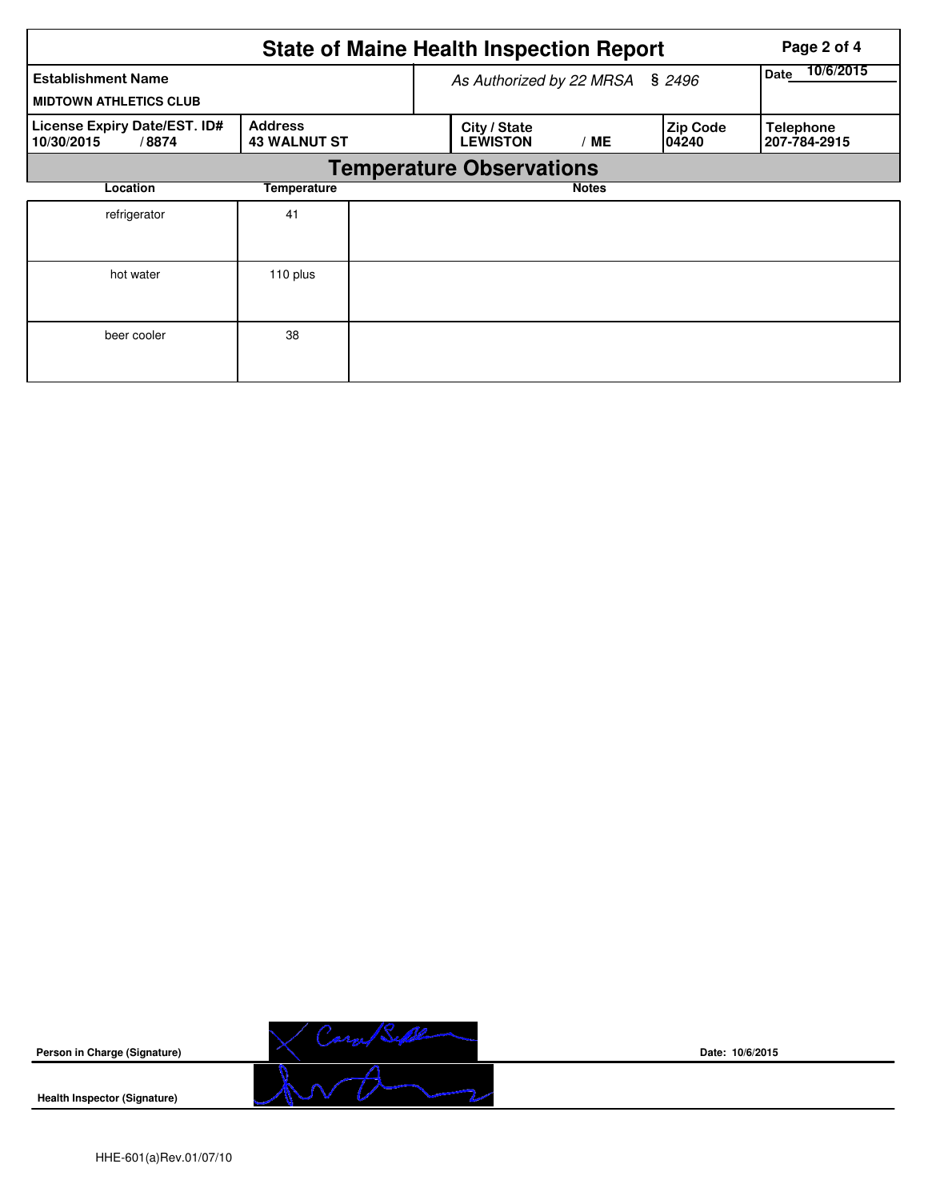| <b>State of Maine Health Inspection Report</b><br>Page 2 of 4 |                                       |  |                                 |                   |                           |                                  |  |  |  |
|---------------------------------------------------------------|---------------------------------------|--|---------------------------------|-------------------|---------------------------|----------------------------------|--|--|--|
| <b>Establishment Name</b><br><b>MIDTOWN ATHLETICS CLUB</b>    |                                       |  | As Authorized by 22 MRSA        | 10/6/2015<br>Date |                           |                                  |  |  |  |
| License Expiry Date/EST. ID#<br>10/30/2015<br>/8874           | <b>Address</b><br><b>43 WALNUT ST</b> |  | City / State<br><b>LEWISTON</b> | /ME               | <b>Zip Code</b><br>104240 | <b>Telephone</b><br>207-784-2915 |  |  |  |
|                                                               |                                       |  | <b>Temperature Observations</b> |                   |                           |                                  |  |  |  |
| Location                                                      |                                       |  | <b>Notes</b>                    |                   |                           |                                  |  |  |  |
| refrigerator                                                  | 41                                    |  |                                 |                   |                           |                                  |  |  |  |
| hot water                                                     | 110 plus                              |  |                                 |                   |                           |                                  |  |  |  |
| beer cooler                                                   | 38                                    |  |                                 |                   |                           |                                  |  |  |  |



**Date: 10/6/2015**

**Health Inspector (Signature)**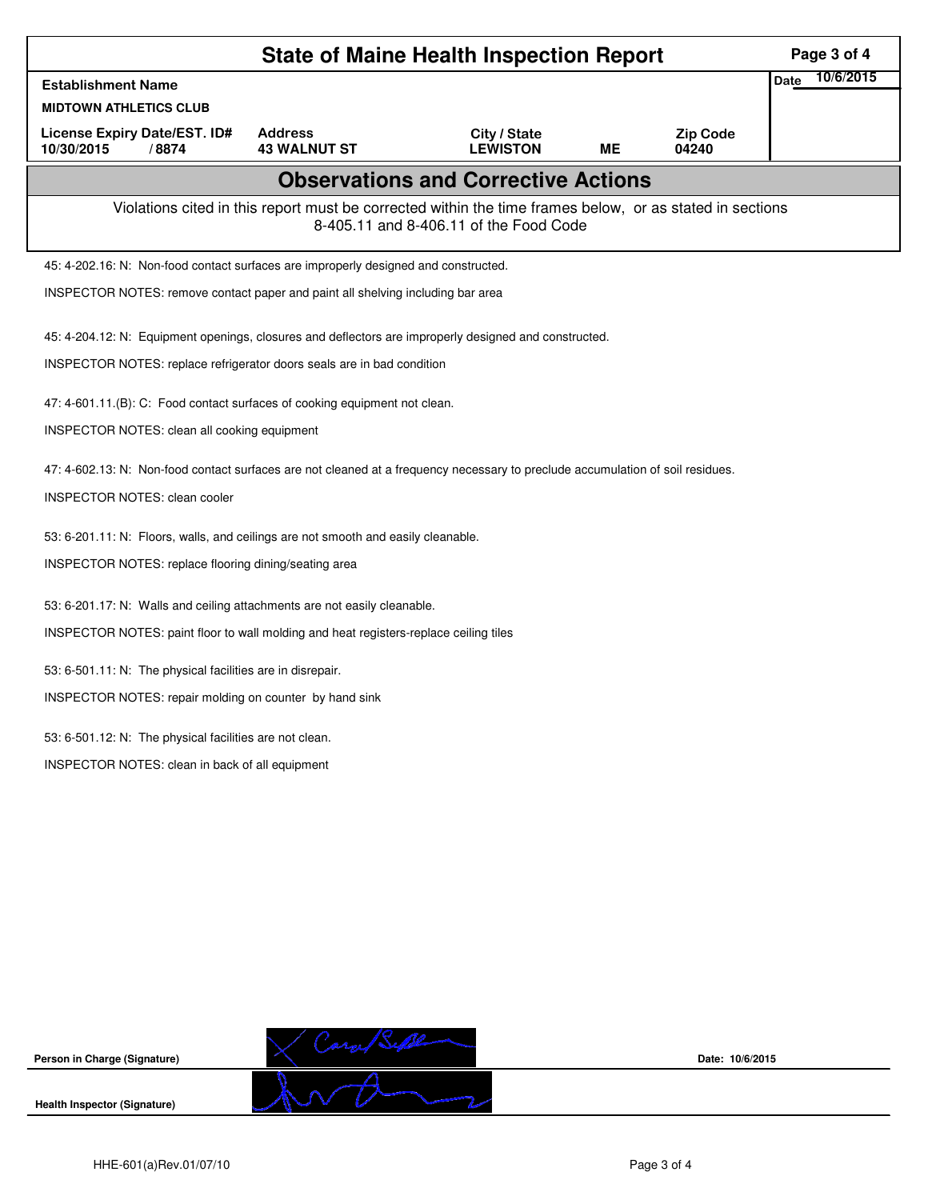| <b>State of Maine Health Inspection Report</b>                                      |                                                                                       |                                       |                                                                                                                                                    |           |                          |      |           |  |
|-------------------------------------------------------------------------------------|---------------------------------------------------------------------------------------|---------------------------------------|----------------------------------------------------------------------------------------------------------------------------------------------------|-----------|--------------------------|------|-----------|--|
| <b>Establishment Name</b>                                                           |                                                                                       |                                       |                                                                                                                                                    |           |                          | Date | 10/6/2015 |  |
| <b>MIDTOWN ATHLETICS CLUB</b>                                                       |                                                                                       |                                       |                                                                                                                                                    |           |                          |      |           |  |
| License Expiry Date/EST. ID#<br>10/30/2015<br>/8874                                 |                                                                                       | <b>Address</b><br><b>43 WALNUT ST</b> | City / State<br><b>LEWISTON</b>                                                                                                                    | <b>ME</b> | <b>Zip Code</b><br>04240 |      |           |  |
|                                                                                     |                                                                                       |                                       | <b>Observations and Corrective Actions</b>                                                                                                         |           |                          |      |           |  |
|                                                                                     |                                                                                       |                                       | Violations cited in this report must be corrected within the time frames below, or as stated in sections<br>8-405.11 and 8-406.11 of the Food Code |           |                          |      |           |  |
| 45: 4-202.16: N: Non-food contact surfaces are improperly designed and constructed. |                                                                                       |                                       |                                                                                                                                                    |           |                          |      |           |  |
| INSPECTOR NOTES: remove contact paper and paint all shelving including bar area     |                                                                                       |                                       |                                                                                                                                                    |           |                          |      |           |  |
|                                                                                     |                                                                                       |                                       | 45: 4-204.12: N: Equipment openings, closures and deflectors are improperly designed and constructed.                                              |           |                          |      |           |  |
| INSPECTOR NOTES: replace refrigerator doors seals are in bad condition              |                                                                                       |                                       |                                                                                                                                                    |           |                          |      |           |  |
| 47: 4-601.11.(B): C: Food contact surfaces of cooking equipment not clean.          |                                                                                       |                                       |                                                                                                                                                    |           |                          |      |           |  |
| INSPECTOR NOTES: clean all cooking equipment                                        |                                                                                       |                                       |                                                                                                                                                    |           |                          |      |           |  |
|                                                                                     |                                                                                       |                                       | 47: 4-602.13: N: Non-food contact surfaces are not cleaned at a frequency necessary to preclude accumulation of soil residues.                     |           |                          |      |           |  |
| <b>INSPECTOR NOTES: clean cooler</b>                                                |                                                                                       |                                       |                                                                                                                                                    |           |                          |      |           |  |
| 53: 6-201.11: N: Floors, walls, and ceilings are not smooth and easily cleanable.   |                                                                                       |                                       |                                                                                                                                                    |           |                          |      |           |  |
| INSPECTOR NOTES: replace flooring dining/seating area                               |                                                                                       |                                       |                                                                                                                                                    |           |                          |      |           |  |
| 53: 6-201.17: N: Walls and ceiling attachments are not easily cleanable.            |                                                                                       |                                       |                                                                                                                                                    |           |                          |      |           |  |
|                                                                                     | INSPECTOR NOTES: paint floor to wall molding and heat registers-replace ceiling tiles |                                       |                                                                                                                                                    |           |                          |      |           |  |
| 53: 6-501.11: N: The physical facilities are in disrepair.                          |                                                                                       |                                       |                                                                                                                                                    |           |                          |      |           |  |
| INSPECTOR NOTES: repair molding on counter by hand sink                             |                                                                                       |                                       |                                                                                                                                                    |           |                          |      |           |  |
| 53: 6-501.12: N: The physical facilities are not clean.                             |                                                                                       |                                       |                                                                                                                                                    |           |                          |      |           |  |
| INSPECTOR NOTES: clean in back of all equipment                                     |                                                                                       |                                       |                                                                                                                                                    |           |                          |      |           |  |
|                                                                                     |                                                                                       |                                       |                                                                                                                                                    |           |                          |      |           |  |
|                                                                                     |                                                                                       |                                       |                                                                                                                                                    |           |                          |      |           |  |
|                                                                                     |                                                                                       |                                       |                                                                                                                                                    |           |                          |      |           |  |
|                                                                                     |                                                                                       |                                       |                                                                                                                                                    |           |                          |      |           |  |
|                                                                                     |                                                                                       |                                       |                                                                                                                                                    |           |                          |      |           |  |